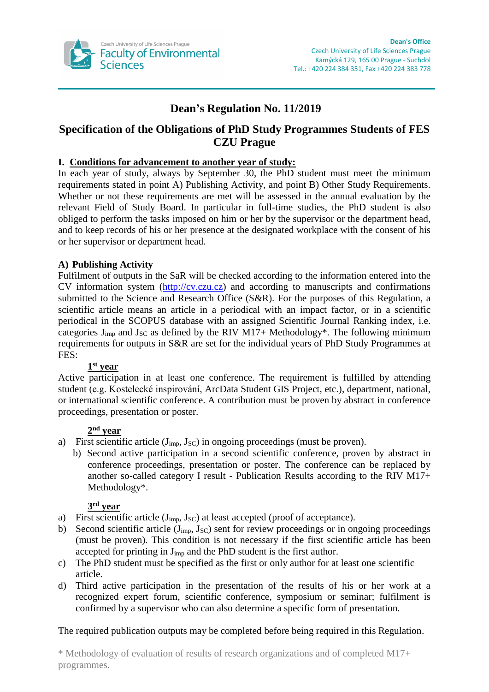

# **Dean's Regulation No. 11/2019**

# **Specification of the Obligations of PhD Study Programmes Students of FES CZU Prague**

## **I. Conditions for advancement to another year of study:**

In each year of study, always by September 30, the PhD student must meet the minimum requirements stated in point A) Publishing Activity, and point B) Other Study Requirements. Whether or not these requirements are met will be assessed in the annual evaluation by the relevant Field of Study Board. In particular in full-time studies, the PhD student is also obliged to perform the tasks imposed on him or her by the supervisor or the department head, and to keep records of his or her presence at the designated workplace with the consent of his or her supervisor or department head.

# **A) Publishing Activity**

Fulfilment of outputs in the SaR will be checked according to the information entered into the CV information system [\(http://cv.czu.cz\)](http://cv.czu.cz/) and according to manuscripts and confirmations submitted to the Science and Research Office (S&R). For the purposes of this Regulation, a scientific article means an article in a periodical with an impact factor, or in a scientific periodical in the SCOPUS database with an assigned Scientific Journal Ranking index, i.e. categories  $J_{imp}$  and  $J_{SC}$  as defined by the RIV M17+ Methodology\*. The following minimum requirements for outputs in S&R are set for the individual years of PhD Study Programmes at FES:

### **1 st year**

Active participation in at least one conference. The requirement is fulfilled by attending student (e.g. Kostelecké inspirování, ArcData Student GIS Project, etc.), department, national, or international scientific conference. A contribution must be proven by abstract in conference proceedings, presentation or poster.

## **2 nd year**

- a) First scientific article  $(J_{\text{imp}}, J_{\text{SC}})$  in ongoing proceedings (must be proven).
	- b) Second active participation in a second scientific conference, proven by abstract in conference proceedings, presentation or poster. The conference can be replaced by another so-called category I result - Publication Results according to the RIV M17+ Methodology\*.

### **3 rd year**

- a) First scientific article  $(J_{imp}, J_{SC})$  at least accepted (proof of acceptance).
- b) Second scientific article ( $J_{imp}$ ,  $J_{SC}$ ) sent for review proceedings or in ongoing proceedings (must be proven). This condition is not necessary if the first scientific article has been accepted for printing in Jimp and the PhD student is the first author.
- c) The PhD student must be specified as the first or only author for at least one scientific article.
- d) Third active participation in the presentation of the results of his or her work at a recognized expert forum, scientific conference, symposium or seminar; fulfilment is confirmed by a supervisor who can also determine a specific form of presentation.

# The required publication outputs may be completed before being required in this Regulation.

\* Methodology of evaluation of results of research organizations and of completed M17+ programmes.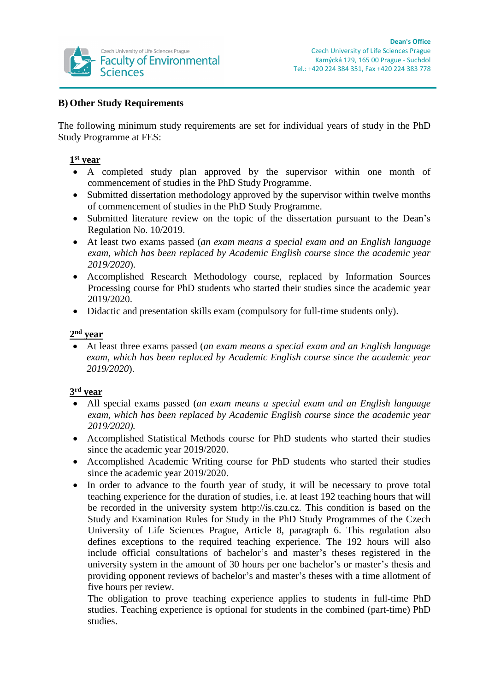

## **B) Other Study Requirements**

The following minimum study requirements are set for individual years of study in the PhD Study Programme at FES:

## **1 st year**

- A completed study plan approved by the supervisor within one month of commencement of studies in the PhD Study Programme.
- Submitted dissertation methodology approved by the supervisor within twelve months of commencement of studies in the PhD Study Programme.
- Submitted literature review on the topic of the dissertation pursuant to the Dean's Regulation No. 10/2019.
- At least two exams passed (*an exam means a special exam and an English language exam, which has been replaced by Academic English course since the academic year 2019/2020*).
- Accomplished Research Methodology course, replaced by Information Sources Processing course for PhD students who started their studies since the academic year 2019/2020.
- Didactic and presentation skills exam (compulsory for full-time students only).

## **2 nd year**

 At least three exams passed (*an exam means a special exam and an English language exam, which has been replaced by Academic English course since the academic year 2019/2020*).

### **3 rd year**

- All special exams passed (*an exam means a special exam and an English language exam, which has been replaced by Academic English course since the academic year 2019/2020).*
- Accomplished Statistical Methods course for PhD students who started their studies since the academic year 2019/2020.
- Accomplished Academic Writing course for PhD students who started their studies since the academic year 2019/2020.
- In order to advance to the fourth year of study, it will be necessary to prove total teaching experience for the duration of studies, i.e. at least 192 teaching hours that will be recorded in the university system http://is.czu.cz. This condition is based on the Study and Examination Rules for Study in the PhD Study Programmes of the Czech University of Life Sciences Prague, Article 8, paragraph 6. This regulation also defines exceptions to the required teaching experience. The 192 hours will also include official consultations of bachelor's and master's theses registered in the university system in the amount of 30 hours per one bachelor's or master's thesis and providing opponent reviews of bachelor's and master's theses with a time allotment of five hours per review.

The obligation to prove teaching experience applies to students in full-time PhD studies. Teaching experience is optional for students in the combined (part-time) PhD studies.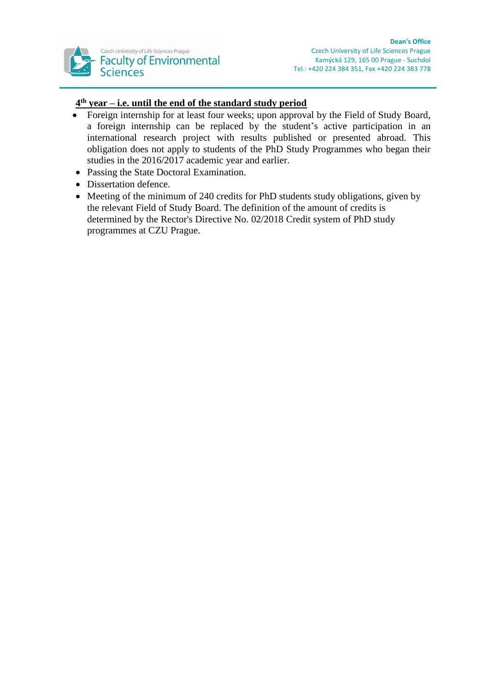

# **4 th year – i.e. until the end of the standard study period**

- Foreign internship for at least four weeks; upon approval by the Field of Study Board, a foreign internship can be replaced by the student's active participation in an international research project with results published or presented abroad. This obligation does not apply to students of the PhD Study Programmes who began their studies in the 2016/2017 academic year and earlier.
- Passing the State Doctoral Examination.
- Dissertation defence.
- Meeting of the minimum of 240 credits for PhD students study obligations, given by the relevant Field of Study Board. The definition of the amount of credits is determined by the Rector's Directive No. 02/2018 Credit system of PhD study programmes at CZU Prague.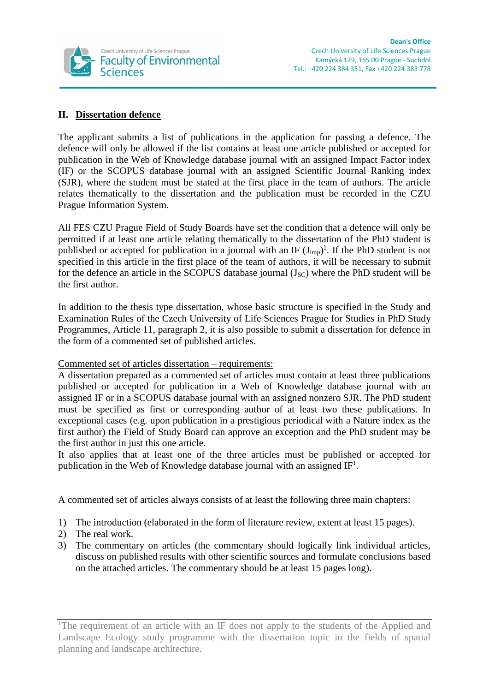

# **II. Dissertation defence**

The applicant submits a list of publications in the application for passing a defence. The defence will only be allowed if the list contains at least one article published or accepted for publication in the Web of Knowledge database journal with an assigned Impact Factor index (IF) or the SCOPUS database journal with an assigned Scientific Journal Ranking index (SJR), where the student must be stated at the first place in the team of authors. The article relates thematically to the dissertation and the publication must be recorded in the CZU Prague Information System.

All FES CZU Prague Field of Study Boards have set the condition that a defence will only be permitted if at least one article relating thematically to the dissertation of the PhD student is published or accepted for publication in a journal with an IF  $(J_{imp})^1$ . If the PhD student is not specified in this article in the first place of the team of authors, it will be necessary to submit for the defence an article in the SCOPUS database journal  $(J<sub>SC</sub>)$  where the PhD student will be the first author.

In addition to the thesis type dissertation, whose basic structure is specified in the Study and Examination Rules of the Czech University of Life Sciences Prague for Studies in PhD Study Programmes, Article 11, paragraph 2, it is also possible to submit a dissertation for defence in the form of a commented set of published articles.

Commented set of articles dissertation – requirements:

A dissertation prepared as a commented set of articles must contain at least three publications published or accepted for publication in a Web of Knowledge database journal with an assigned IF or in a SCOPUS database journal with an assigned nonzero SJR. The PhD student must be specified as first or corresponding author of at least two these publications. In exceptional cases (e.g. upon publication in a prestigious periodical with a Nature index as the first author) the Field of Study Board can approve an exception and the PhD student may be the first author in just this one article.

It also applies that at least one of the three articles must be published or accepted for publication in the Web of Knowledge database journal with an assigned  $IF<sup>1</sup>$ .

A commented set of articles always consists of at least the following three main chapters:

- 1) The introduction (elaborated in the form of literature review, extent at least 15 pages).
- 2) The real work.
- 3) The commentary on articles (the commentary should logically link individual articles, discuss on published results with other scientific sources and formulate conclusions based on the attached articles. The commentary should be at least 15 pages long).

<sup>&</sup>lt;sup>1</sup>The requirement of an article with an IF does not apply to the students of the Applied and Landscape Ecology study programme with the dissertation topic in the fields of spatial planning and landscape architecture.